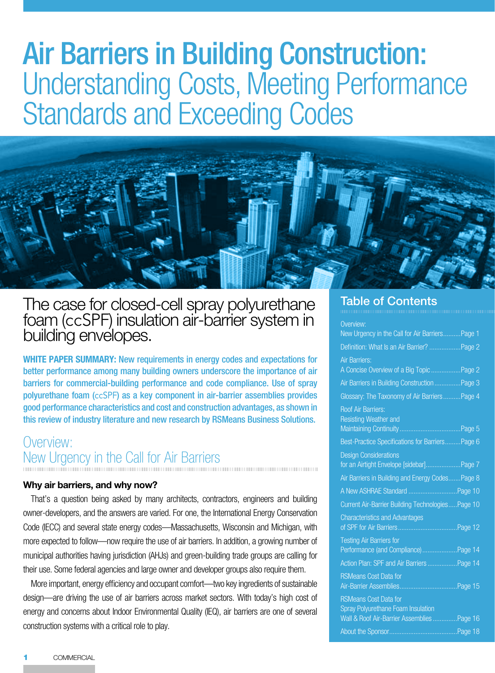## Air Barriers in Building Construction: Understanding Costs, Meeting Performance Standards and Exceeding Codes



The case for closed-cell spray polyurethane foam (ccSPF) insulation air-barrier system in<br>building envelopes.

**WHITE PAPER SUMMARY:** New requirements in energy codes and expectations for better performance among many building owners underscore the importance of air barriers for commercial-building performance and code compliance. Use of spray polyurethane foam (ccSPF) as a key component in air-barrier assemblies provides good performance characteristics and cost and construction advantages, as shown in this review of industry literature and new research by RSMeans Business Solutions.

### Overview: New Urgency in the Call for Air Barriers

#### **Why air barriers, and why now?**

That's a question being asked by many architects, contractors, engineers and building owner-developers, and the answers are varied. For one, the International Energy Conservation Code (IECC) and several state energy codes—Massachusetts, Wisconsin and Michigan, with more expected to follow—now require the use of air barriers. In addition, a growing number of municipal authorities having jurisdiction (AHJs) and green-building trade groups are calling for their use. Some federal agencies and large owner and developer groups also require them.

More important, energy efficiency and occupant comfort—two key ingredients of sustainable design—are driving the use of air barriers across market sectors. With today's high cost of energy and concerns about Indoor Environmental Quality (IEQ), air barriers are one of several construction systems with a critical role to play.

#### Table of Contents

| Overview:                                                              |  |
|------------------------------------------------------------------------|--|
| New Urgency in the Call for Air Barriers Page 1                        |  |
| Definition: What Is an Air Barrier? Page 2                             |  |
| <b>Air Barriers:</b><br>A Concise Overview of a Big Topic  Page 2      |  |
| Air Barriers in Building Construction  Page 3                          |  |
| Glossary: The Taxonomy of Air BarriersPage 4                           |  |
| <b>Roof Air Barriers:</b><br>Resisting Weather and                     |  |
| Best-Practice Specifications for Barriers Page 6                       |  |
| <b>Design Considerations</b>                                           |  |
| for an Airtight Envelope [sidebar]Page 7                               |  |
| Air Barriers in Building and Energy Codes Page 8                       |  |
| A New ASHRAE Standard Page 10                                          |  |
| Current Air-Barrier Building TechnologiesPage 10                       |  |
| <b>Characteristics and Advantages</b>                                  |  |
| <b>Testing Air Barriers for</b><br>Performance (and Compliance)Page 14 |  |
|                                                                        |  |
| Action Plan: SPF and Air Barriers Page 14                              |  |
| <b>RSMeans Cost Data for</b>                                           |  |
| <b>RSMeans Cost Data for</b><br>Spray Polyurethane Foam Insulation     |  |
| Wall & Roof Air-Barrier AssembliesPage 16                              |  |
|                                                                        |  |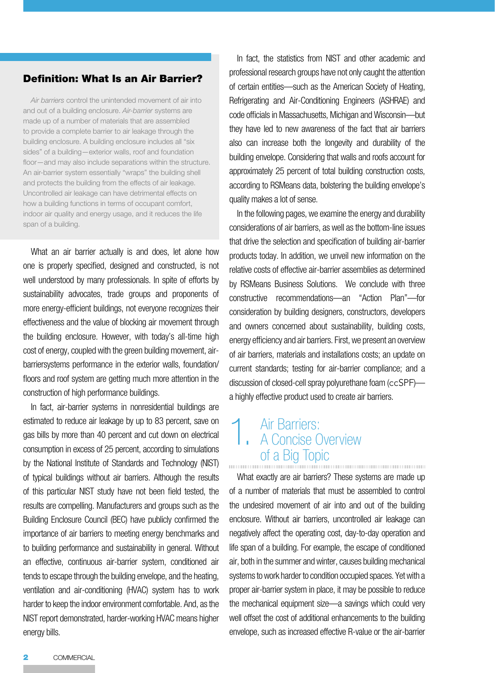#### Definition: What Is an Air Barrier?

*Air barriers* control the unintended movement of air into and out of a building enclosure. *Air-barrier* systems are made up of a number of materials that are assembled to provide a complete barrier to air leakage through the building enclosure. A building enclosure includes all "six sides" of a building—exterior walls, roof and foundation floor—and may also include separations within the structure. An air-barrier system essentially "wraps" the building shell and protects the building from the effects of air leakage. Uncontrolled air leakage can have detrimental effects on how a building functions in terms of occupant comfort, indoor air quality and energy usage, and it reduces the life span of a building.

What an air barrier actually is and does, let alone how one is properly specified, designed and constructed, is not well understood by many professionals. In spite of efforts by sustainability advocates, trade groups and proponents of more energy-efficient buildings, not everyone recognizes their effectiveness and the value of blocking air movement through the building enclosure. However, with today's all-time high cost of energy, coupled with the green building movement, airbarriersystems performance in the exterior walls, foundation/ floors and roof system are getting much more attention in the construction of high performance buildings.

In fact, air-barrier systems in nonresidential buildings are estimated to reduce air leakage by up to 83 percent, save on gas bills by more than 40 percent and cut down on electrical consumption in excess of 25 percent, according to simulations by the National Institute of Standards and Technology (NIST) of typical buildings without air barriers. Although the results of this particular NIST study have not been field tested, the results are compelling. Manufacturers and groups such as the Building Enclosure Council (BEC) have publicly confirmed the importance of air barriers to meeting energy benchmarks and to building performance and sustainability in general. Without an effective, continuous air-barrier system, conditioned air tends to escape through the building envelope, and the heating, ventilation and air-conditioning (HVAC) system has to work harder to keep the indoor environment comfortable. And, as the NIST report demonstrated, harder-working HVAC means higher energy bills.

In fact, the statistics from NIST and other academic and professional research groups have not only caught the attention of certain entities—such as the American Society of Heating, Refrigerating and Air-Conditioning Engineers (ASHRAE) and code officials in Massachusetts, Michigan and Wisconsin—but they have led to new awareness of the fact that air barriers also can increase both the longevity and durability of the building envelope. Considering that walls and roofs account for approximately 25 percent of total building construction costs, according to RSMeans data, bolstering the building envelope's quality makes a lot of sense.

In the following pages, we examine the energy and durability considerations of air barriers, as well as the bottom-line issues that drive the selection and specification of building air-barrier products today. In addition, we unveil new information on the relative costs of effective air-barrier assemblies as determined by RSMeans Business Solutions. We conclude with three constructive recommendations—an "Action Plan"—for consideration by building designers, constructors, developers and owners concerned about sustainability, building costs, energy efficiency and air barriers. First, we present an overview of air barriers, materials and installations costs; an update on current standards; testing for air-barrier compliance; and a discussion of closed-cell spray polyurethane foam (ccSPF) a highly effective product used to create air barriers.

## 1. Air Barriers:<br>
A Concise Overview of a Big Topic

What exactly are air barriers? These systems are made up of a number of materials that must be assembled to control the undesired movement of air into and out of the building enclosure. Without air barriers, uncontrolled air leakage can negatively affect the operating cost, day-to-day operation and life span of a building. For example, the escape of conditioned air, both in the summer and winter, causes building mechanical systems to work harder to condition occupied spaces. Yet with a proper air-barrier system in place, it may be possible to reduce the mechanical equipment size—a savings which could very well offset the cost of additional enhancements to the building envelope, such as increased effective R-value or the air-barrier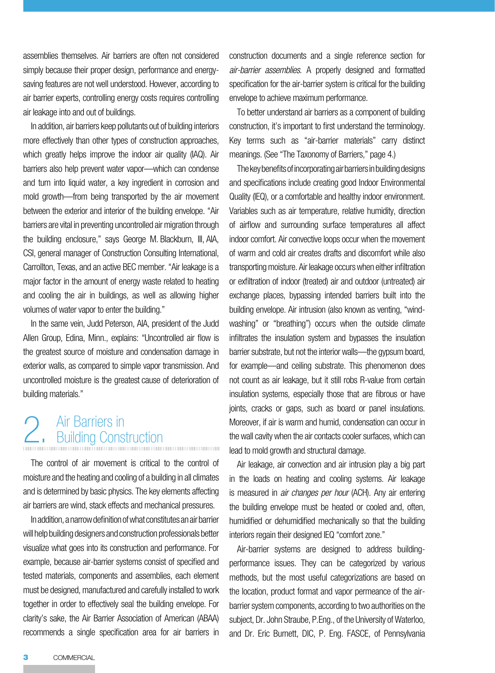assemblies themselves. Air barriers are often not considered simply because their proper design, performance and energysaving features are not well understood. However, according to air barrier experts, controlling energy costs requires controlling air leakage into and out of buildings.

In addition, air barriers keep pollutants out of building interiors more effectively than other types of construction approaches, which greatly helps improve the indoor air quality (IAQ). Air barriers also help prevent water vapor—which can condense and turn into liquid water, a key ingredient in corrosion and mold growth—from being transported by the air movement between the exterior and interior of the building envelope. "Air barriers are vital in preventing uncontrolled air migration through the building enclosure," says George M. Blackburn, III, AIA, CSI, general manager of Construction Consulting International, Carrollton, Texas, and an active BEC member. "Air leakage is a major factor in the amount of energy waste related to heating and cooling the air in buildings, as well as allowing higher volumes of water vapor to enter the building."

In the same vein, Judd Peterson, AIA, president of the Judd Allen Group, Edina, Minn., explains: "Uncontrolled air flow is the greatest source of moisture and condensation damage in exterior walls, as compared to simple vapor transmission. And uncontrolled moisture is the greatest cause of deterioration of building materials."

# 2. Air Barriers in<br>2. Building Construction

The control of air movement is critical to the control of moisture and the heating and cooling of a building in all climates and is determined by basic physics. The key elements affecting air barriers are wind, stack effects and mechanical pressures.

In addition, a narrow definition of what constitutes an air barrier will help building designers and construction professionals better visualize what goes into its construction and performance. For example, because air-barrier systems consist of specified and tested materials, components and assemblies, each element must be designed, manufactured and carefully installed to work together in order to effectively seal the building envelope. For clarity's sake, the Air Barrier Association of American (ABAA) recommends a single specification area for air barriers in

construction documents and a single reference section for *air-barrier assemblies*. A properly designed and formatted specification for the air-barrier system is critical for the building envelope to achieve maximum performance.

To better understand air barriers as a component of building construction, it's important to first understand the terminology. Key terms such as "air-barrier materials" carry distinct meanings. (See "The Taxonomy of Barriers," page 4.)

The key benefits of incorporating air barriers in building designs and specifications include creating good Indoor Environmental Quality (IEQ), or a comfortable and healthy indoor environment. Variables such as air temperature, relative humidity, direction of airflow and surrounding surface temperatures all affect indoor comfort. Air convective loops occur when the movement of warm and cold air creates drafts and discomfort while also transporting moisture. Air leakage occurs when either infiltration or exfiltration of indoor (treated) air and outdoor (untreated) air exchange places, bypassing intended barriers built into the building envelope. Air intrusion (also known as venting, "windwashing" or "breathing") occurs when the outside climate infiltrates the insulation system and bypasses the insulation barrier substrate, but not the interior walls—the gypsum board, for example—and ceiling substrate. This phenomenon does not count as air leakage, but it still robs R-value from certain insulation systems, especially those that are fibrous or have joints, cracks or gaps, such as board or panel insulations. Moreover, if air is warm and humid, condensation can occur in the wall cavity when the air contacts cooler surfaces, which can lead to mold growth and structural damage.

Air leakage, air convection and air intrusion play a big part in the loads on heating and cooling systems. Air leakage is measured in *air changes per hour* (ACH). Any air entering the building envelope must be heated or cooled and, often, humidified or dehumidified mechanically so that the building interiors regain their designed IEQ "comfort zone."

Air-barrier systems are designed to address buildingperformance issues. They can be categorized by various methods, but the most useful categorizations are based on the location, product format and vapor permeance of the airbarrier system components, according to two authorities on the subject, Dr. John Straube, P.Eng., of the University of Waterloo, and Dr. Eric Burnett, DIC, P. Eng. FASCE, of Pennsylvania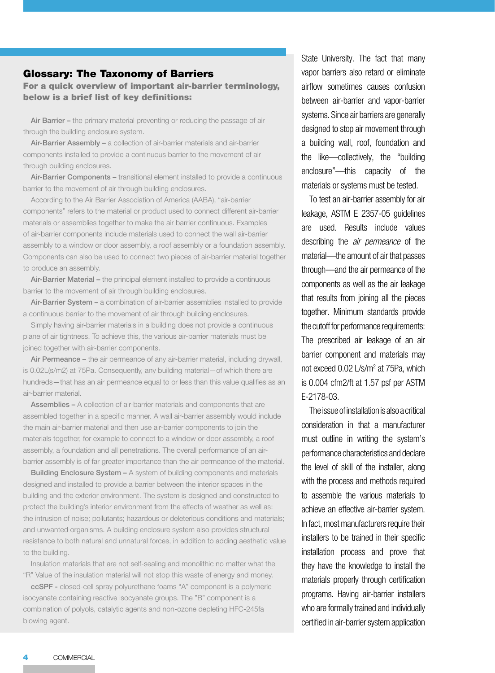#### Glossary: The Taxonomy of Barriers

For a quick overview of important air-barrier terminology, below is a brief list of key definitions:

Air Barrier - the primary material preventing or reducing the passage of air through the building enclosure system.

Air-Barrier Assembly - a collection of air-barrier materials and air-barrier components installed to provide a continuous barrier to the movement of air through building enclosures.

Air-Barrier Components – transitional element installed to provide a continuous barrier to the movement of air through building enclosures.

According to the Air Barrier Association of America (AABA), "air-barrier components" refers to the material or product used to connect different air-barrier materials or assemblies together to make the air barrier continuous. Examples of air-barrier components include materials used to connect the wall air-barrier assembly to a window or door assembly, a roof assembly or a foundation assembly. Components can also be used to connect two pieces of air-barrier material together to produce an assembly.

Air-Barrier Material – the principal element installed to provide a continuous barrier to the movement of air through building enclosures.

Air-Barrier System - a combination of air-barrier assemblies installed to provide a continuous barrier to the movement of air through building enclosures.

Simply having air-barrier materials in a building does not provide a continuous plane of air tightness. To achieve this, the various air-barrier materials must be joined together with air-barrier components.

Air Permeance – the air permeance of any air-barrier material, including drywall, is 0.02L(s/m2) at 75Pa. Consequently, any building material—of which there are hundreds—that has an air permeance equal to or less than this value qualifies as an air-barrier material.

Assemblies – A collection of air-barrier materials and components that are assembled together in a specific manner. A wall air-barrier assembly would include the main air-barrier material and then use air-barrier components to join the materials together, for example to connect to a window or door assembly, a roof assembly, a foundation and all penetrations. The overall performance of an airbarrier assembly is of far greater importance than the air permeance of the material.

Building Enclosure System - A system of building components and materials designed and installed to provide a barrier between the interior spaces in the building and the exterior environment. The system is designed and constructed to protect the building's interior environment from the effects of weather as well as: the intrusion of noise; pollutants; hazardous or deleterious conditions and materials; and unwanted organisms. A building enclosure system also provides structural resistance to both natural and unnatural forces, in addition to adding aesthetic value to the building.

Insulation materials that are not self-sealing and monolithic no matter what the "R" Value of the insulation material will not stop this waste of energy and money.

ccSPF - closed-cell spray polyurethane foams "A" component is a polymeric isocyanate containing reactive isocyanate groups. The "B" component is a combination of polyols, catalytic agents and non-ozone depleting HFC-245fa blowing agent.

State University. The fact that many vapor barriers also retard or eliminate airflow sometimes causes confusion between air-barrier and vapor-barrier systems. Since air barriers are generally designed to stop air movement through a building wall, roof, foundation and the like—collectively, the "building enclosure"—this capacity of the materials or systems must be tested.

To test an air-barrier assembly for air leakage, ASTM E 2357-05 guidelines are used. Results include values describing the *air permeance* of the material—the amount of air that passes through—and the air permeance of the components as well as the air leakage that results from joining all the pieces together. Minimum standards provide the cutoff for performance requirements: The prescribed air leakage of an air barrier component and materials may not exceed 0.02 L/s/m2 at 75Pa, which is 0.004 cfm2/ft at 1.57 psf per ASTM E-2178-03.

The issue of installation is also a critical consideration in that a manufacturer must outline in writing the system's performance characteristics and declare the level of skill of the installer, along with the process and methods required to assemble the various materials to achieve an effective air-barrier system. In fact, most manufacturers require their installers to be trained in their specific installation process and prove that they have the knowledge to install the materials properly through certification programs. Having air-barrier installers who are formally trained and individually certified in air-barrier system application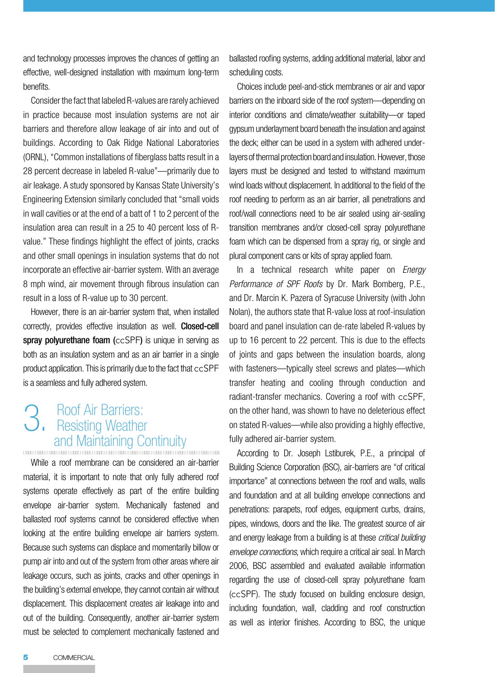and technology processes improves the chances of getting an effective, well-designed installation with maximum long-term benefits.

Consider the fact that labeled R-values are rarely achieved in practice because most insulation systems are not air barriers and therefore allow leakage of air into and out of buildings. According to Oak Ridge National Laboratories (ORNL), "Common installations of fiberglass batts result in a 28 percent decrease in labeled R-value"—primarily due to air leakage. A study sponsored by Kansas State University's Engineering Extension similarly concluded that "small voids in wall cavities or at the end of a batt of 1 to 2 percent of the insulation area can result in a 25 to 40 percent loss of Rvalue." These findings highlight the effect of joints, cracks and other small openings in insulation systems that do not incorporate an effective air-barrier system. With an average 8 mph wind, air movement through fibrous insulation can result in a loss of R-value up to 30 percent.

However, there is an air-barrier system that, when installed correctly, provides effective insulation as well. Closed-cell spray polyurethane foam (ccSPF) is unique in serving as both as an insulation system and as an air barrier in a single product application. This is primarily due to the fact that ccSPF is a seamless and fully adhered system.

## 3. Roof Air Barriers: Resisting Weather and Maintaining Continuity

While a roof membrane can be considered an air-barrier material, it is important to note that only fully adhered roof systems operate effectively as part of the entire building envelope air-barrier system. Mechanically fastened and ballasted roof systems cannot be considered effective when looking at the entire building envelope air barriers system. Because such systems can displace and momentarily billow or pump air into and out of the system from other areas where air leakage occurs, such as joints, cracks and other openings in the building's external envelope, they cannot contain air without displacement. This displacement creates air leakage into and out of the building. Consequently, another air-barrier system must be selected to complement mechanically fastened and

ballasted roofing systems, adding additional material, labor and scheduling costs.

Choices include peel-and-stick membranes or air and vapor barriers on the inboard side of the roof system—depending on interior conditions and climate/weather suitability—or taped gypsum underlayment board beneath the insulation and against the deck; either can be used in a system with adhered underlayers of thermal protection board and insulation. However, those layers must be designed and tested to withstand maximum wind loads without displacement. In additional to the field of the roof needing to perform as an air barrier, all penetrations and roof/wall connections need to be air sealed using air-sealing transition membranes and/or closed-cell spray polyurethane foam which can be dispensed from a spray rig, or single and plural component cans or kits of spray applied foam.

In a technical research white paper on *Energy Performance of SPF Roofs* by Dr. Mark Bomberg, P.E., and Dr. Marcin K. Pazera of Syracuse University (with John Nolan), the authors state that R-value loss at roof-insulation board and panel insulation can de-rate labeled R-values by up to 16 percent to 22 percent. This is due to the effects of joints and gaps between the insulation boards, along with fasteners—typically steel screws and plates—which transfer heating and cooling through conduction and radiant-transfer mechanics. Covering a roof with ccSPF, on the other hand, was shown to have no deleterious effect on stated R-values—while also providing a highly effective, fully adhered air-barrier system.

According to Dr. Joseph Lstiburek, P.E., a principal of Building Science Corporation (BSC), air-barriers are "of critical importance" at connections between the roof and walls, walls and foundation and at all building envelope connections and penetrations: parapets, roof edges, equipment curbs, drains, pipes, windows, doors and the like. The greatest source of air and energy leakage from a building is at these *critical building envelope connections*, which require a critical air seal. In March 2006, BSC assembled and evaluated available information regarding the use of closed-cell spray polyurethane foam (ccSPF). The study focused on building enclosure design, including foundation, wall, cladding and roof construction as well as interior finishes. According to BSC, the unique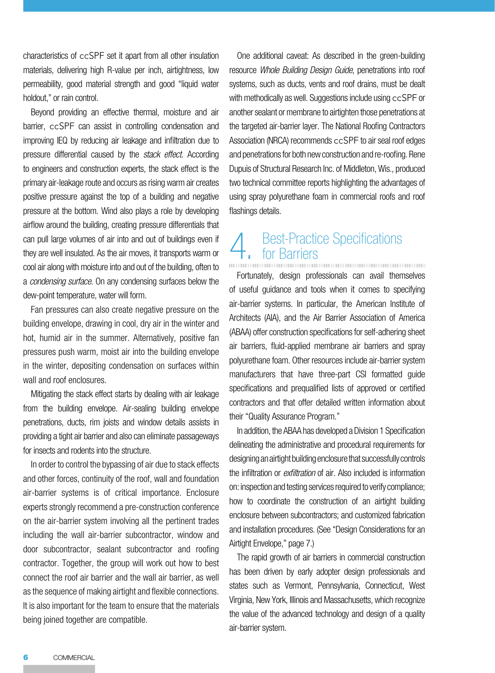characteristics of ccSPF set it apart from all other insulation materials, delivering high R-value per inch, airtightness, low permeability, good material strength and good "liquid water holdout," or rain control.

Beyond providing an effective thermal, moisture and air barrier, ccSPF can assist in controlling condensation and improving IEQ by reducing air leakage and infiltration due to pressure differential caused by the *stack effect*. According to engineers and construction experts, the stack effect is the primary air-leakage route and occurs as rising warm air creates positive pressure against the top of a building and negative pressure at the bottom. Wind also plays a role by developing airflow around the building, creating pressure differentials that can pull large volumes of air into and out of buildings even if they are well insulated. As the air moves, it transports warm or cool air along with moisture into and out of the building, often to a *condensing surface*. On any condensing surfaces below the dew-point temperature, water will form.

Fan pressures can also create negative pressure on the building envelope, drawing in cool, dry air in the winter and hot, humid air in the summer. Alternatively, positive fan pressures push warm, moist air into the building envelope in the winter, depositing condensation on surfaces within wall and roof enclosures.

Mitigating the stack effect starts by dealing with air leakage from the building envelope. Air-sealing building envelope penetrations, ducts, rim joists and window details assists in providing a tight air barrier and also can eliminate passageways for insects and rodents into the structure.

In order to control the bypassing of air due to stack effects and other forces, continuity of the roof, wall and foundation air-barrier systems is of critical importance. Enclosure experts strongly recommend a pre-construction conference on the air-barrier system involving all the pertinent trades including the wall air-barrier subcontractor, window and door subcontractor, sealant subcontractor and roofing contractor. Together, the group will work out how to best connect the roof air barrier and the wall air barrier, as well as the sequence of making airtight and flexible connections. It is also important for the team to ensure that the materials being joined together are compatible.

One additional caveat: As described in the green-building resource *Whole Building Design Guide*, penetrations into roof systems, such as ducts, vents and roof drains, must be dealt with methodically as well. Suggestions include using ccSPF or another sealant or membrane to airtighten those penetrations at the targeted air-barrier layer. The National Roofing Contractors Association (NRCA) recommends ccSPF to air seal roof edges and penetrations for both new construction and re-roofing. Rene Dupuis of Structural Research Inc. of Middleton, Wis., produced two technical committee reports highlighting the advantages of using spray polyurethane foam in commercial roofs and roof flashings details.

## 4. Best-Practice Specifications<br>
Fig. 3. The Barriers<br>
The Barriers<br>
The Barriers<br>
The Barriers<br>
The Barriers<br>
The Barriers<br>
The Barriers<br>
The Barriers<br>
The Barriers<br>
The Barriers<br>
The Barriers<br>
The Barriers<br>
The Barriers<br> for Barriers

Fortunately, design professionals can avail themselves of useful guidance and tools when it comes to specifying air-barrier systems. In particular, the American Institute of Architects (AIA), and the Air Barrier Association of America (ABAA) offer construction specifications for self-adhering sheet air barriers, fluid-applied membrane air barriers and spray polyurethane foam. Other resources include air-barrier system manufacturers that have three-part CSI formatted guide specifications and prequalified lists of approved or certified contractors and that offer detailed written information about their "Quality Assurance Program."

In addition, the ABAA has developed a Division 1 Specification delineating the administrative and procedural requirements for designing an airtight building enclosure that successfully controls the infiltration or *exfiltration* of air. Also included is information on: inspection and testing services required to verify compliance; how to coordinate the construction of an airtight building enclosure between subcontractors; and customized fabrication and installation procedures. (See "Design Considerations for an Airtight Envelope," page 7.)

The rapid growth of air barriers in commercial construction has been driven by early adopter design professionals and states such as Vermont, Pennsylvania, Connecticut, West Virginia, New York, Illinois and Massachusetts, which recognize the value of the advanced technology and design of a quality air-barrier system.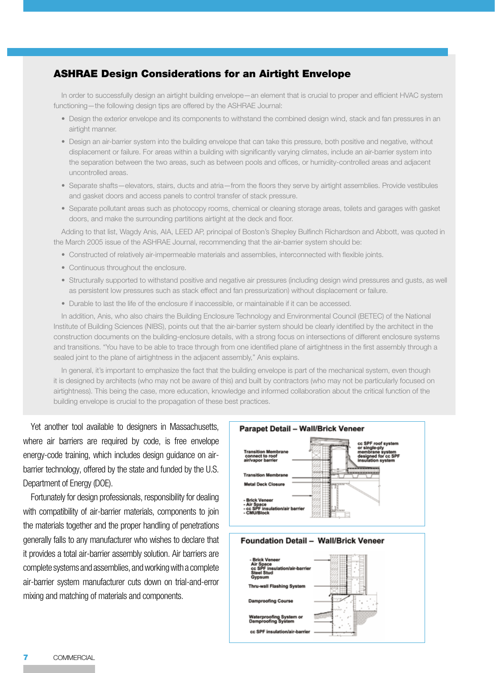#### ASHRAE Design Considerations for an Airtight Envelope

In order to successfully design an airtight building envelope—an element that is crucial to proper and efficient HVAC system functioning—the following design tips are offered by the ASHRAE Journal:

- Design the exterior envelope and its components to withstand the combined design wind, stack and fan pressures in an airtight manner.
- Design an air-barrier system into the building envelope that can take this pressure, both positive and negative, without displacement or failure. For areas within a building with significantly varying climates, include an air-barrier system into the separation between the two areas, such as between pools and offices, or humidity-controlled areas and adjacent uncontrolled areas.
- Separate shafts—elevators, stairs, ducts and atria—from the floors they serve by airtight assemblies. Provide vestibules and gasket doors and access panels to control transfer of stack pressure.
- Separate pollutant areas such as photocopy rooms, chemical or cleaning storage areas, toilets and garages with gasket doors, and make the surrounding partitions airtight at the deck and floor.

Adding to that list, Wagdy Anis, AIA, LEED AP, principal of Boston's Shepley Bulfinch Richardson and Abbott, was quoted in the March 2005 issue of the ASHRAE Journal, recommending that the air-barrier system should be:

- Constructed of relatively air-impermeable materials and assemblies, interconnected with flexible joints.
- Continuous throughout the enclosure.
- Structurally supported to withstand positive and negative air pressures (including design wind pressures and gusts, as well as persistent low pressures such as stack effect and fan pressurization) without displacement or failure.
- Durable to last the life of the enclosure if inaccessible, or maintainable if it can be accessed.

In addition, Anis, who also chairs the Building Enclosure Technology and Environmental Council (BETEC) of the National Institute of Building Sciences (NIBS), points out that the air-barrier system should be clearly identified by the architect in the construction documents on the building-enclosure details, with a strong focus on intersections of different enclosure systems and transitions. "You have to be able to trace through from one identified plane of airtightness in the first assembly through a sealed joint to the plane of airtightness in the adjacent assembly," Anis explains.

In general, it's important to emphasize the fact that the building envelope is part of the mechanical system, even though it is designed by architects (who may not be aware of this) and built by contractors (who may not be particularly focused on airtightness). This being the case, more education, knowledge and informed collaboration about the critical function of the building envelope is crucial to the propagation of these best practices.

Yet another tool available to designers in Massachusetts, where air barriers are required by code, is free envelope energy-code training, which includes design guidance on airbarrier technology, offered by the state and funded by the U.S. Department of Energy (DOE).

Fortunately for design professionals, responsibility for dealing with compatibility of air-barrier materials, components to join the materials together and the proper handling of penetrations generally falls to any manufacturer who wishes to declare that it provides a total air-barrier assembly solution. Air barriers are complete systems and assemblies, and working with a complete air-barrier system manufacturer cuts down on trial-and-error mixing and matching of materials and components.

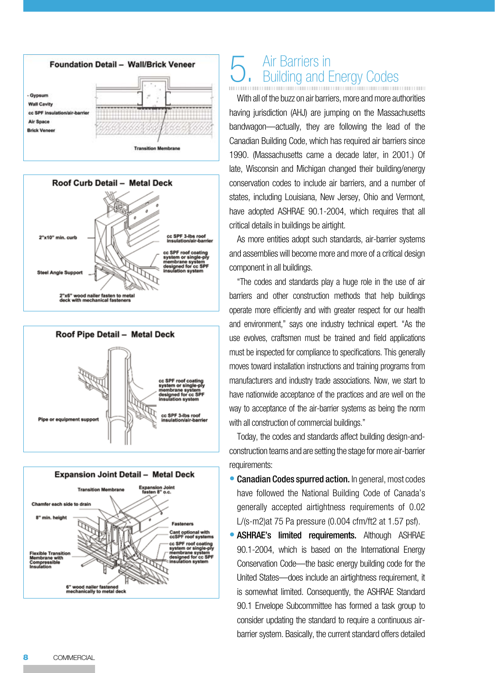







## 5. Air Barriers in<br>5. Building and Energy Codes Iding and Fnergy Codes

With all of the buzz on air barriers, more and more authorities having jurisdiction (AHJ) are jumping on the Massachusetts bandwagon—actually, they are following the lead of the Canadian Building Code, which has required air barriers since 1990. (Massachusetts came a decade later, in 2001.) Of late, Wisconsin and Michigan changed their building/energy conservation codes to include air barriers, and a number of states, including Louisiana, New Jersey, Ohio and Vermont, have adopted ASHRAE 90.1-2004, which requires that all critical details in buildings be airtight.

As more entities adopt such standards, air-barrier systems and assemblies will become more and more of a critical design component in all buildings.

"The codes and standards play a huge role in the use of air barriers and other construction methods that help buildings operate more efficiently and with greater respect for our health and environment," says one industry technical expert. "As the use evolves, craftsmen must be trained and field applications must be inspected for compliance to specifications. This generally moves toward installation instructions and training programs from manufacturers and industry trade associations. Now, we start to have nationwide acceptance of the practices and are well on the way to acceptance of the air-barrier systems as being the norm with all construction of commercial buildings."

Today, the codes and standards affect building design-andconstruction teams and are setting the stage for more air-barrier requirements:

- Canadian Codes spurred action. In general, most codes have followed the National Building Code of Canada's generally accepted airtightness requirements of 0.02 L/(s-m2)at 75 Pa pressure (0.004 cfm/ft2 at 1.57 psf). •<br>•<br>•
- **ASHRAE's limited requirements.** Although ASHRAE 90.1-2004, which is based on the International Energy Conservation Code—the basic energy building code for the United States—does include an airtightness requirement, it is somewhat limited. Consequently, the ASHRAE Standard 90.1 Envelope Subcommittee has formed a task group to consider updating the standard to require a continuous airbarrier system. Basically, the current standard offers detailed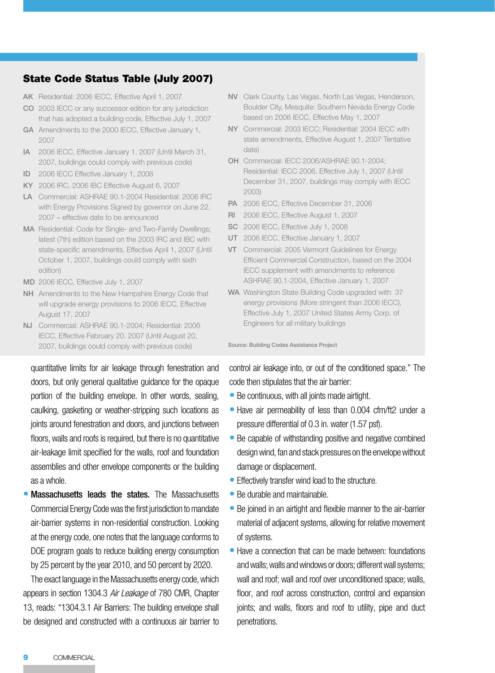#### State Code Status Table (July 2007)

- AK Residential: 2006 IECC, Effective April 1, 2007
- CO 2003 IECC or any successor edition for any jurisdiction that has adopted a building code, Effective July 1, 2007
- GA Amendments to the 2000 IECC, Effective January 1, 2007
- IA 2006 IECC, Effective January 1, 2007 (Until March 31, 2007, buildings could comply with previous code)
- ID 2006 IECC Effective January 1, 2008
- KY 2006 IRC, 2006 IBC Effective August 6, 2007
- LA Commercial: ASHRAE 90.1-2004 Residential: 2006 IRC with Energy Provisions Signed by governor on June 22, 2007 – effective date to be announced
- MA Residential: Code for Single- and Two-Family Dwellings; latest (7th) edition based on the 2003 IRC and IBC with state-specific amendments, Effective April 1, 2007 (Until October 1, 2007, buildings could comply with sixth edition)
- MD 2006 IECC, Effective July 1, 2007
- NH Amendments to the New Hampshire Energy Code that will upgrade energy provisions to 2006 IECC, Effective August 17, 2007
- NJ Commercial: ASHRAE 90.1-2004; Residential: 2006 IECC, Effective February 20. 2007 (Until August 20, 2007, buildings could comply with previous code)

quantitative limits for air leakage through fenestration and doors, but only general qualitative guidance for the opaque portion of the building envelope. In other words, sealing, caulking, gasketing or weather-stripping such locations as joints around fenestration and doors, and junctions between floors, walls and roofs is required, but there is no quantitative air-leakage limit specified for the walls, roof and foundation assemblies and other envelope components or the building as a whole.

• Massachusetts leads the states. The Massachusetts Commercial Energy Code was the first jurisdiction to mandate air-barrier systems in non-residential construction. Looking at the energy code, one notes that the language conforms to DOE program goals to reduce building energy consumption by 25 percent by the year 2010, and 50 percent by 2020.

The exact language in the Massachusetts energy code, which appears in section 1304.3 *Air Leakage* of 780 CMR, Chapter 13, reads: "1304.3.1 Air Barriers: The building envelope shall be designed and constructed with a continuous air barrier to

- NV Clark County, Las Vegas, North Las Vegas, Henderson, Boulder City, Mesquite: Southern Nevada Energy Code based on 2006 IECC, Effective May 1, 2007
- NY Commercial: 2003 IECC; Residential: 2004 IECC with state amendments, Effective August 1, 2007 Tentative date)
- OH Commercial: IECC 2006/ASHRAE 90.1-2004; Residential: IECC 2006, Effective July 1, 2007 (Until December 31, 2007, buildings may comply with IECC 2003)
- PA 2006 IECC, Effective December 31, 2006
- RI 2006 IECC, Effective August 1, 2007
- SC 2006 IECC, Effective July 1, 2008
- UT 2006 IECC, Effective January 1, 2007
- VT Commercial: 2005 Vermont Guidelines for Energy Efficient Commercial Construction, based on the 2004 IECC supplement with amendments to reference ASHRAE 90.1-2004, Effective January 1, 2007
- WA Washington State Building Code upgraded with 37 energy provisions (More stringent than 2006 IECC), Effective July 1, 2007 United States Army Corp. of Engineers for all military buildings

Source: Building Codes Assistance Project

control air leakage into, or out of the conditioned space." The code then stipulates that the air barrier:

- Be continuous, with all joints made airtight.
- Have air permeability of less than 0.004 cfm/ft2 under a pressure differential of 0.3 in. water (1.57 psf).
- Be capable of withstanding positive and negative combined design wind, fan and stack pressures on the envelope without damage or displacement.
- Effectively transfer wind load to the structure. •
- Be durable and maintainable.
- Be joined in an airtight and flexible manner to the air-barrier material of adjacent systems, allowing for relative movement of systems.
- Have a connection that can be made between: foundations and walls; walls and windows or doors; different wall systems; wall and roof; wall and roof over unconditioned space; walls, floor, and roof across construction, control and expansion joints; and walls, floors and roof to utility, pipe and duct penetrations.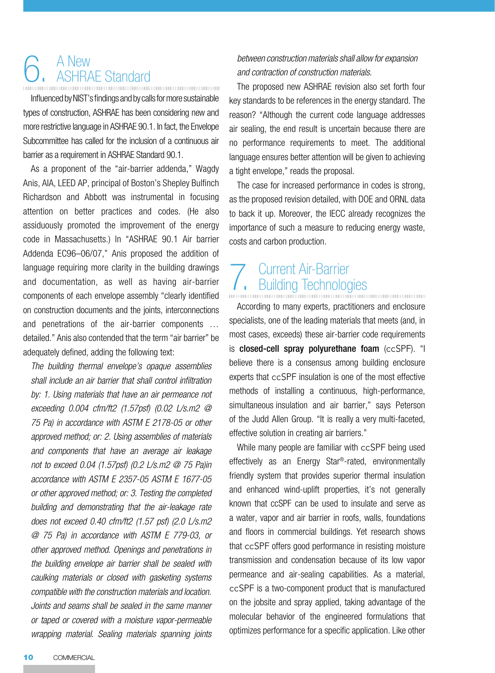### 6. A New<br>6. ASHRAE Standard ASHRAE Standard

Influenced by NIST's findings and by calls for more sustainable types of construction, ASHRAE has been considering new and more restrictive language in ASHRAE 90.1. In fact, the Envelope Subcommittee has called for the inclusion of a continuous air barrier as a requirement in ASHRAE Standard 90.1.

As a proponent of the "air-barrier addenda," Wagdy Anis, AIA, LEED AP, principal of Boston's Shepley Bulfinch Richardson and Abbott was instrumental in focusing attention on better practices and codes. (He also assiduously promoted the improvement of the energy code in Massachusetts.) In "ASHRAE 90.1 Air barrier Addenda EC96–06/07," Anis proposed the addition of language requiring more clarity in the building drawings and documentation, as well as having air-barrier components of each envelope assembly "clearly identified on construction documents and the joints, interconnections and penetrations of the air-barrier components … detailed." Anis also contended that the term "air barrier" be adequately defined, adding the following text:

*The building thermal envelope's opaque assemblies shall include an air barrier that shall control infiltration by: 1. Using materials that have an air permeance not exceeding 0.004 cfm/ft2 (1.57psf) (0.02 L/s.m2 @ 75 Pa) in accordance with ASTM E 2178-05 or other approved method; or: 2. Using assemblies of materials and components that have an average air leakage not to exceed 0.04 (1.57psf) (0.2 L/s.m2 @ 75 Pa)in accordance with ASTM E 2357-05 ASTM E 1677-05 or other approved method; or: 3. Testing the completed building and demonstrating that the air-leakage rate does not exceed 0.40 cfm/ft2 (1.57 psf) (2.0 L/s.m2 @ 75 Pa) in accordance with ASTM E 779-03, or other approved method. Openings and penetrations in the building envelope air barrier shall be sealed with caulking materials or closed with gasketing systems compatible with the construction materials and location. Joints and seams shall be sealed in the same manner or taped or covered with a moisture vapor-permeable wrapping material. Sealing materials spanning joints* 

#### *between construction materials shall allow for expansion and contraction of construction materials.*

The proposed new ASHRAE revision also set forth four key standards to be references in the energy standard. The reason? "Although the current code language addresses air sealing, the end result is uncertain because there are no performance requirements to meet. The additional language ensures better attention will be given to achieving a tight envelope," reads the proposal.

The case for increased performance in codes is strong, as the proposed revision detailed, with DOE and ORNL data to back it up. Moreover, the IECC already recognizes the importance of such a measure to reducing energy waste, costs and carbon production.

# 7. Current Air-Barrier<br>
Building Technologies

According to many experts, practitioners and enclosure specialists, one of the leading materials that meets (and, in most cases, exceeds) these air-barrier code requirements is closed-cell spray polyurethane foam (ccSPF). "I believe there is a consensus among building enclosure experts that ccSPF insulation is one of the most effective methods of installing a continuous, high-performance, simultaneous insulation and air barrier," says Peterson of the Judd Allen Group. "It is really a very multi-faceted, effective solution in creating air barriers."

While many people are familiar with ccSPF being used effectively as an Energy Star®-rated, environmentally friendly system that provides superior thermal insulation and enhanced wind-uplift properties, it's not generally known that ccSPF can be used to insulate and serve as a water, vapor and air barrier in roofs, walls, foundations and floors in commercial buildings. Yet research shows that ccSPF offers good performance in resisting moisture transmission and condensation because of its low vapor permeance and air-sealing capabilities. As a material, ccSPF is a two-component product that is manufactured on the jobsite and spray applied, taking advantage of the molecular behavior of the engineered formulations that optimizes performance for a specific application. Like other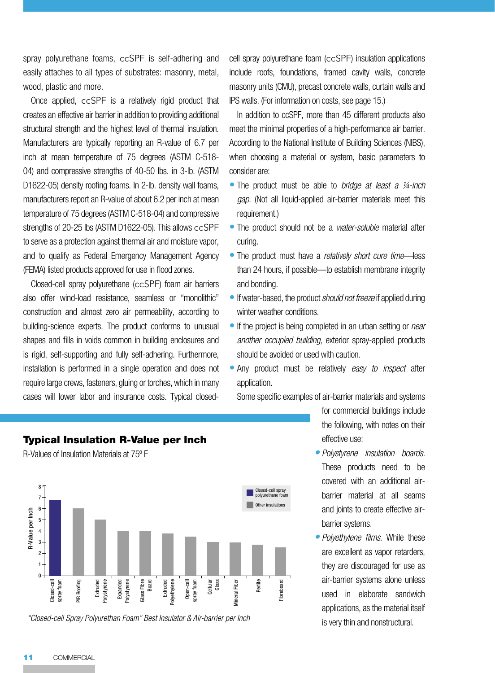spray polyurethane foams, ccSPF is self-adhering and easily attaches to all types of substrates: masonry, metal, wood, plastic and more.

Once applied, ccSPF is a relatively rigid product that creates an effective air barrier in addition to providing additional structural strength and the highest level of thermal insulation. Manufacturers are typically reporting an R-value of 6.7 per inch at mean temperature of 75 degrees (ASTM C-518- 04) and compressive strengths of 40-50 lbs. in 3-lb. (ASTM D1622-05) density roofing foams. In 2-lb. density wall foams, manufacturers report an R-value of about 6.2 per inch at mean temperature of 75 degrees (ASTM C-518-04) and compressive strengths of 20-25 lbs (ASTM D1622-05). This allows ccSPF to serve as a protection against thermal air and moisture vapor, and to qualify as Federal Emergency Management Agency (FEMA) listed products approved for use in flood zones.

Closed-cell spray polyurethane (ccSPF) foam air barriers also offer wind-load resistance, seamless or "monolithic" construction and almost zero air permeability, according to building-science experts. The product conforms to unusual shapes and fills in voids common in building enclosures and is rigid, self-supporting and fully self-adhering. Furthermore, installation is performed in a single operation and does not require large crews, fasteners, gluing or torches, which in many cases will lower labor and insurance costs. Typical closedcell spray polyurethane foam (ccSPF) insulation applications include roofs, foundations, framed cavity walls, concrete masonry units (CMU), precast concrete walls, curtain walls and IPS walls. (For information on costs, see page 15.)

In addition to ccSPF, more than 45 different products also meet the minimal properties of a high-performance air barrier. According to the National Institute of Building Sciences (NIBS), when choosing a material or system, basic parameters to consider are:

- The product must be able to *bridge at least a ¼-inch gap.* (Not all liquid-applied air-barrier materials meet this requirement.)
- The product should not be a *water-soluble* material after curing.
- The product must have a *relatively short cure time*—less than 24 hours, if possible—to establish membrane integrity and bonding.
- If water-based, the product *should not freeze* if applied during winter weather conditions.
- If the project is being completed in an urban setting or *near another occupied building*, exterior spray-applied products should be avoided or used with caution.
- Any product must be relatively *easy to inspect* after application.

Some specific examples of air-barrier materials and systems

for commercial buildings include the following, with notes on their effective use:

- *Polystyrene insulation boards. •* These products need to be covered with an additional airbarrier material at all seams and joints to create effective airbarrier systems.
- *Polyethylene films.* While these *•* are excellent as vapor retarders, they are discouraged for use as air-barrier systems alone unless used in elaborate sandwich applications, as the material itself is very thin and nonstructural.

### Typical Insulation R-Value per Inch

R-Values of Insulation Materials at 75º F



*"Closed-cell Spray Polyurethan Foam" Best Insulator & Air-barrier per Inch*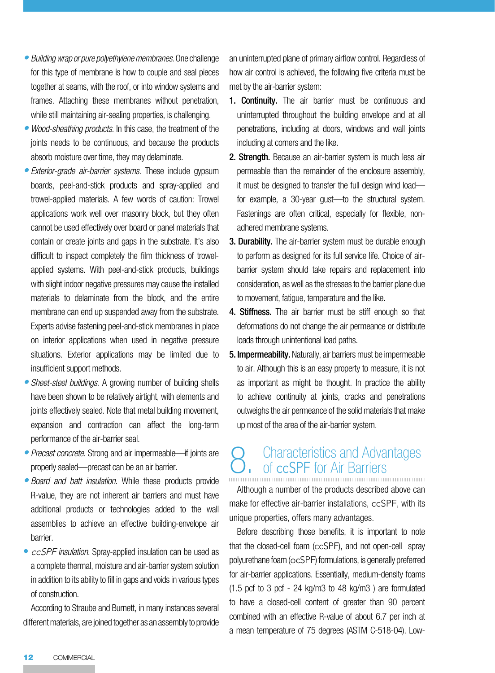- *Building wrap or pure polyethylene membranes*. One challenge *•* for this type of membrane is how to couple and seal pieces together at seams, with the roof, or into window systems and frames. Attaching these membranes without penetration, while still maintaining air-sealing properties, is challenging.
- *Wood-sheathing products.* In this case, the treatment of the *•* joints needs to be continuous, and because the products absorb moisture over time, they may delaminate.
- *Exterior-grade air-barrier systems.* These include gypsum *•* boards, peel-and-stick products and spray-applied and trowel-applied materials. A few words of caution: Trowel applications work well over masonry block, but they often cannot be used effectively over board or panel materials that contain or create joints and gaps in the substrate. It's also difficult to inspect completely the film thickness of trowelapplied systems. With peel-and-stick products, buildings with slight indoor negative pressures may cause the installed materials to delaminate from the block, and the entire membrane can end up suspended away from the substrate. Experts advise fastening peel-and-stick membranes in place on interior applications when used in negative pressure situations. Exterior applications may be limited due to insufficient support methods.
- *Sheet-steel buildings.* A growing number of building shells *•* have been shown to be relatively airtight, with elements and joints effectively sealed. Note that metal building movement, expansion and contraction can affect the long-term performance of the air-barrier seal.
- *Precast concrete.* Strong and air impermeable—if joints are *•* properly sealed—precast can be an air barrier.
- *Board and batt insulation.* While these products provide *•* R-value, they are not inherent air barriers and must have additional products or technologies added to the wall assemblies to achieve an effective building-envelope air barrier.
- *ccSPF insulation.* Spray-applied insulation can be used as a complete thermal, moisture and air-barrier system solution in addition to its ability to fill in gaps and voids in various types of construction.

According to Straube and Burnett, in many instances several different materials, are joined together as an assembly to provide an uninterrupted plane of primary airflow control. Regardless of how air control is achieved, the following five criteria must be met by the air-barrier system:

- **1. Continuity.** The air barrier must be continuous and uninterrupted throughout the building envelope and at all penetrations, including at doors, windows and wall joints including at corners and the like.
- 2. Strength. Because an air-barrier system is much less air permeable than the remainder of the enclosure assembly, it must be designed to transfer the full design wind load for example, a 30-year gust—to the structural system. Fastenings are often critical, especially for flexible, nonadhered membrane systems.
- 3. Durability. The air-barrier system must be durable enough to perform as designed for its full service life. Choice of airbarrier system should take repairs and replacement into consideration, as well as the stresses to the barrier plane due to movement, fatigue, temperature and the like.
- 4. Stiffness. The air barrier must be stiff enough so that deformations do not change the air permeance or distribute loads through unintentional load paths.
- 5. Impermeability. Naturally, air barriers must be impermeable to air. Although this is an easy property to measure, it is not as important as might be thought. In practice the ability to achieve continuity at joints, cracks and penetrations outweighs the air permeance of the solid materials that make up most of the area of the air-barrier system.

### 8. Characteristics and Advantages<br>
8. of ccSPF for Air Barriers of ccSPF for Air Barriers

Although a number of the products described above can make for effective air-barrier installations, ccSPF, with its unique properties, offers many advantages.

Before describing those benefits, it is important to note that the closed-cell foam (ccSPF), and not open-cell spray polyurethane foam (ocSPF) formulations, is generally preferred for air-barrier applications. Essentially, medium-density foams (1.5 pcf to 3 pcf - 24 kg/m3 to 48 kg/m3 ) are formulated to have a closed-cell content of greater than 90 percent combined with an effective R-value of about 6.7 per inch at a mean temperature of 75 degrees (ASTM C-518-04). Low-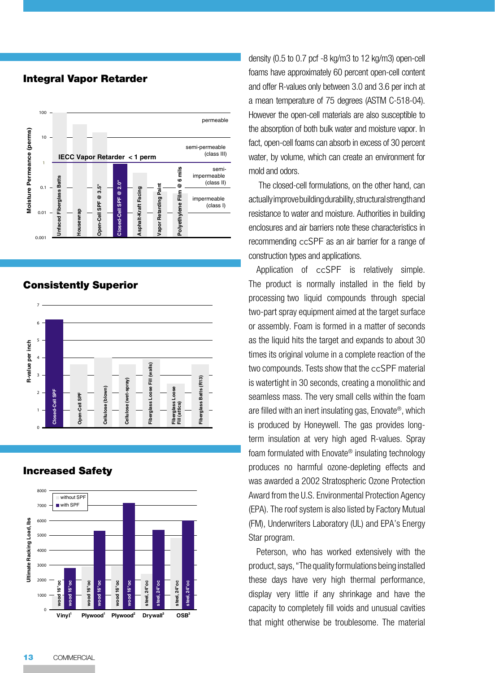#### Integral Vapor Retarder



#### Consistently Superior



#### Increased Safety



density (0.5 to 0.7 pcf -8 kg/m3 to 12 kg/m3) open-cell foams have approximately 60 percent open-cell content and offer R-values only between 3.0 and 3.6 per inch at a mean temperature of 75 degrees (ASTM C-518-04). However the open-cell materials are also susceptible to the absorption of both bulk water and moisture vapor. In fact, open-cell foams can absorb in excess of 30 percent water, by volume, which can create an environment for mold and odors.

 The closed-cell formulations, on the other hand, can actually improve building durability, structural strength and resistance to water and moisture. Authorities in building enclosures and air barriers note these characteristics in recommending ccSPF as an air barrier for a range of construction types and applications.

Application of ccSPF is relatively simple. The product is normally installed in the field by processing two liquid compounds through special two-part spray equipment aimed at the target surface or assembly. Foam is formed in a matter of seconds as the liquid hits the target and expands to about 30 times its original volume in a complete reaction of the two compounds. Tests show that the ccSPF material is watertight in 30 seconds, creating a monolithic and seamless mass. The very small cells within the foam are filled with an inert insulating gas, Enovate®, which is produced by Honeywell. The gas provides longterm insulation at very high aged R-values. Spray foam formulated with Enovate® insulating technology produces no harmful ozone-depleting effects and was awarded a 2002 Stratospheric Ozone Protection Award from the U.S. Environmental Protection Agency (EPA). The roof system is also listed by Factory Mutual (FM), Underwriters Laboratory (UL) and EPA's Energy Star program.

Peterson, who has worked extensively with the product, says, "The quality formulations being installed these days have very high thermal performance, display very little if any shrinkage and have the capacity to completely fill voids and unusual cavities that might otherwise be troublesome. The material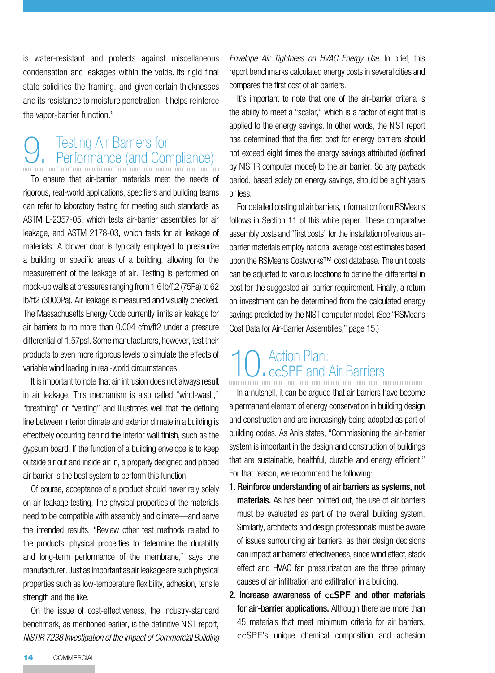is water-resistant and protects against miscellaneous condensation and leakages within the voids. Its rigid final state solidifies the framing, and given certain thicknesses and its resistance to moisture penetration, it helps reinforce the vapor-barrier function."

# 9. Testing Air Barriers for Performance (and Compliance)

To ensure that air-barrier materials meet the needs of rigorous, real-world applications, specifiers and building teams can refer to laboratory testing for meeting such standards as ASTM E-2357-05, which tests air-barrier assemblies for air leakage, and ASTM 2178-03, which tests for air leakage of materials. A blower door is typically employed to pressurize a building or specific areas of a building, allowing for the measurement of the leakage of air. Testing is performed on mock-up walls at pressures ranging from 1.6 lb/ft2 (75Pa) to 62 lb/ft2 (3000Pa). Air leakage is measured and visually checked. The Massachusetts Energy Code currently limits air leakage for air barriers to no more than 0.004 cfm/ft2 under a pressure differential of 1.57psf. Some manufacturers, however, test their products to even more rigorous levels to simulate the effects of variable wind loading in real-world circumstances.

It is important to note that air intrusion does not always result in air leakage. This mechanism is also called "wind-wash," "breathing" or "venting" and illustrates well that the defining line between interior climate and exterior climate in a building is effectively occurring behind the interior wall finish, such as the gypsum board. If the function of a building envelope is to keep outside air out and inside air in, a properly designed and placed air barrier is the best system to perform this function.

Of course, acceptance of a product should never rely solely on air-leakage testing. The physical properties of the materials need to be compatible with assembly and climate—and serve the intended results. "Review other test methods related to the products' physical properties to determine the durability and long-term performance of the membrane," says one manufacturer. Just as important as air leakage are such physical properties such as low-temperature flexibility, adhesion, tensile strength and the like.

On the issue of cost-effectiveness, the industry-standard benchmark, as mentioned earlier, is the definitive NIST report, *NISTIR 7238 Investigation of the Impact of Commercial Building*  *Envelope Air Tightness on HVAC Energy Use.* In brief, this report benchmarks calculated energy costs in several cities and compares the first cost of air barriers.

It's important to note that one of the air-barrier criteria is the ability to meet a "scalar," which is a factor of eight that is applied to the energy savings. In other words, the NIST report has determined that the first cost for energy barriers should not exceed eight times the energy savings attributed (defined by NISTIR computer model) to the air barrier. So any payback period, based solely on energy savings, should be eight years or less.

For detailed costing of air barriers, information from RSMeans follows in Section 11 of this white paper. These comparative assembly costs and "first costs" for the installation of various airbarrier materials employ national average cost estimates based upon the RSMeans Costworks™ cost database. The unit costs can be adjusted to various locations to define the differential in cost for the suggested air-barrier requirement. Finally, a return on investment can be determined from the calculated energy savings predicted by the NIST computer model. (See "RSMeans Cost Data for Air-Barrier Assemblies," page 15.)

# 10. Action Plan:<br>
ccSPF and Air Barriers

In a nutshell, it can be argued that air barriers have become a permanent element of energy conservation in building design and construction and are increasingly being adopted as part of building codes. As Anis states, "Commissioning the air-barrier system is important in the design and construction of buildings that are sustainable, healthful, durable and energy efficient." For that reason, we recommend the following:

- 1. Reinforce understanding of air barriers as systems, not materials. As has been pointed out, the use of air barriers must be evaluated as part of the overall building system. Similarly, architects and design professionals must be aware of issues surrounding air barriers, as their design decisions can impact air barriers' effectiveness, since wind effect, stack effect and HVAC fan pressurization are the three primary causes of air infiltration and exfiltration in a building.
- 2. Increase awareness of ccSPF and other materials for air-barrier applications. Although there are more than 45 materials that meet minimum criteria for air barriers, ccSPF's unique chemical composition and adhesion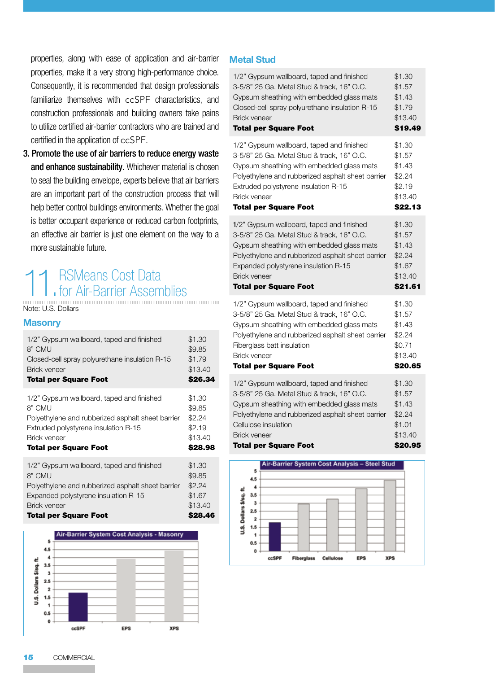properties, along with ease of application and air-barrier properties, make it a very strong high-performance choice. Consequently, it is recommended that design professionals familiarize themselves with ccSPF characteristics, and construction professionals and building owners take pains to utilize certified air-barrier contractors who are trained and certified in the application of ccSPF.

3. Promote the use of air barriers to reduce energy waste and enhance sustainability. Whichever material is chosen to seal the building envelope, experts believe that air barriers are an important part of the construction process that will help better control buildings environments. Whether the goal is better occupant experience or reduced carbon footprints, an effective air barrier is just one element on the way to a more sustainable future.

## 11. RSMeans Cost Data<br>1. for Air-Barrier Assemblies Air-Barrier Assemblies

Note: U.S. Dollars

#### **Masonry**

| 1/2" Gypsum wallboard, taped and finished         | \$1.30  |
|---------------------------------------------------|---------|
| 8" CMU                                            | \$9.85  |
| Closed-cell spray polyurethane insulation R-15    | \$1.79  |
| <b>Brick veneer</b>                               | \$13.40 |
| <b>Total per Square Foot</b>                      | \$26.34 |
| 1/2" Gypsum wallboard, taped and finished         | \$1.30  |
| 8" CMU                                            | \$9.85  |
| Polyethylene and rubberized asphalt sheet barrier | \$2.24  |
| Extruded polystyrene insulation R-15              | \$2.19  |
| <b>Brick veneer</b>                               | \$13.40 |
| <b>Total per Square Foot</b>                      | \$28.98 |
| 1/2" Gypsum wallboard, taped and finished         | \$1.30  |

1/2" Gypsum wallboard, taped and finished 8" CMU Polyethylene and rubberized asphalt sheet barrier Expanded polystyrene insulation R-15 Brick veneer Total per Square Foot \$9.85 \$2.24 \$1.67 \$13.40 \$28.46



#### **Metal Stud**

| 1/2" Gypsum wallboard, taped and finished         | \$1.30  |
|---------------------------------------------------|---------|
| 3-5/8" 25 Ga. Metal Stud & track, 16" O.C.        | \$1.57  |
| Gypsum sheathing with embedded glass mats         | \$1.43  |
| Closed-cell spray polyurethane insulation R-15    | \$1.79  |
| <b>Brick veneer</b>                               | \$13.40 |
| <b>Total per Square Foot</b>                      | \$19.49 |
| 1/2" Gypsum wallboard, taped and finished         | \$1.30  |
| 3-5/8" 25 Ga. Metal Stud & track, 16" O.C.        | \$1.57  |
| Gypsum sheathing with embedded glass mats         | \$1.43  |
| Polyethylene and rubberized asphalt sheet barrier | \$2.24  |
| Extruded polystyrene insulation R-15              | \$2.19  |
| <b>Brick veneer</b>                               | \$13.40 |
| <b>Total per Square Foot</b>                      | \$22.13 |
| 1/2" Gypsum wallboard, taped and finished         | \$1.30  |
| 3-5/8" 25 Ga. Metal Stud & track, 16" O.C.        | \$1.57  |
| Gypsum sheathing with embedded glass mats         | \$1.43  |
| Polyethylene and rubberized asphalt sheet barrier | \$2.24  |
| Expanded polystyrene insulation R-15              | \$1.67  |
| <b>Brick veneer</b>                               | \$13.40 |
| <b>Total per Square Foot</b>                      | \$21.61 |
| 1/2" Gypsum wallboard, taped and finished         | \$1.30  |
| 3-5/8" 25 Ga. Metal Stud & track, 16" O.C.        | \$1.57  |
| Gypsum sheathing with embedded glass mats         | \$1.43  |
| Polyethylene and rubberized asphalt sheet barrier | \$2.24  |
| Fiberglass batt insulation                        | \$0.71  |
| <b>Brick veneer</b>                               | \$13.40 |
| <b>Total per Square Foot</b>                      | \$20.65 |
| 1/2" Gypsum wallboard, taped and finished         | \$1.30  |
| 3-5/8" 25 Ga. Metal Stud & track, 16" O.C.        | \$1.57  |
| Gypsum sheathing with embedded glass mats         | \$1.43  |
| Polyethylene and rubberized asphalt sheet barrier | \$2.24  |
| Cellulose insulation                              | \$1.01  |
| <b>Brick veneer</b>                               | \$13.40 |
| <b>Total per Square Foot</b>                      | \$20.95 |

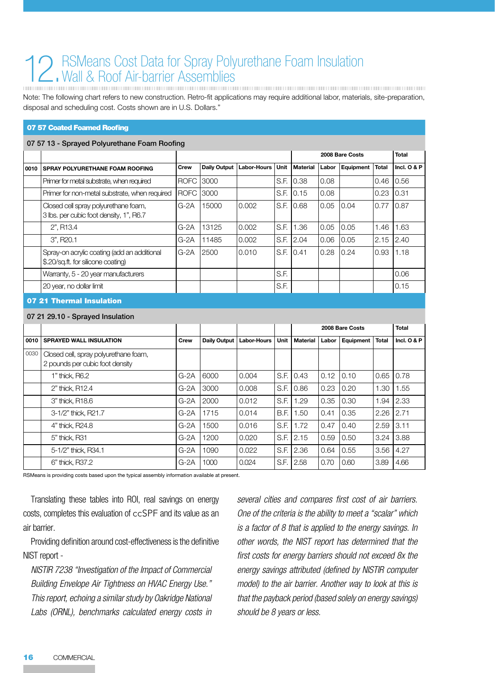## 12. RSMeans Cost Data for Spray Polyurethane Foam Insulation<br>
The Wall & Roof Air-barrier Assemblies Wall & Roof Air-barrier Assemblies

Note: The following chart refers to new construction. Retro-fit applications may require additional labor, materials, site-preparation, disposal and scheduling cost. Costs shown are in U.S. Dollars."

#### 07 57 Coated Foamed Roofing

#### 07 57 13 - Sprayed Polyurethane Foam Roofing

|      |                                                                                   |             |              |                    |      | 2008 Bare Costs |       |           |       | <b>Total</b>  |
|------|-----------------------------------------------------------------------------------|-------------|--------------|--------------------|------|-----------------|-------|-----------|-------|---------------|
| 0010 | SPRAY POLYURETHANE FOAM ROOFING                                                   | Crew        | Daily Output | <b>Labor-Hours</b> | Unit | Material        | Labor | Equipment | Total | Incl. $O & P$ |
|      | Primer for metal substrate, when required                                         | <b>ROFC</b> | 3000         |                    |      | S.F. 0.38       | 0.08  |           | 0.46  | 0.56          |
|      | Primer for non-metal substrate, when required                                     | <b>ROFC</b> | 3000         |                    |      | S.F. 0.15       | 0.08  |           | 0.23  | 0.31          |
|      | Closed cell spray polyurethane foam,<br>3 lbs. per cubic foot density, 1", R6.7   | $G-2A$      | 15000        | 0.002              |      | S.F. 0.68       | 0.05  | 0.04      | 0.77  | 0.87          |
|      | 2", R <sub>13</sub> .4                                                            | $G-2A$      | 13125        | 0.002              | S.F. | 1.36            | 0.05  | 0.05      | 1.46  | 1.63          |
|      | 3", R <sub>20.1</sub>                                                             | G-2A        | 11485        | 0.002              | S.F. | 12.04           | 0.06  | 0.05      | 2.15  | 2.40          |
|      | Spray-on acrylic coating (add an additional<br>\$.20/sq.ft. for silicone coating) | $G-2A$      | 2500         | 0.010              |      | S.F. 0.41       | 0.28  | 0.24      | 0.93  | 1.18          |
|      | Warranty, 5 - 20 year manufacturers                                               |             |              |                    | S.F. |                 |       |           |       | 0.06          |
|      | 20 year, no dollar limit                                                          |             |              |                    | S.F. |                 |       |           |       | 0.15          |

#### 07 21 Thermal Insulation

#### 07 21 29.10 - Sprayed Insulation

|      |                                                                          |        |              |                    |      | 2008 Bare Costs |       |           | <b>Total</b> |               |
|------|--------------------------------------------------------------------------|--------|--------------|--------------------|------|-----------------|-------|-----------|--------------|---------------|
| 0010 | <b>SPRAYED WALL INSULATION</b>                                           | Crew   | Daily Output | <b>Labor-Hours</b> | Unit | Material        | Labor | Equipment | <b>Total</b> | Incl. $O & P$ |
| 0030 | Closed cell, spray polyurethane foam,<br>2 pounds per cubic foot density |        |              |                    |      |                 |       |           |              |               |
|      | 1" thick. R6.2                                                           | $G-2A$ | 6000         | 0.004              |      | S.F. 0.43       | 0.12  | 0.10      | 0.65         | 0.78          |
|      | 2" thick, R12.4                                                          | $G-2A$ | 3000         | 0.008              | S.F. | 0.86            | 0.23  | 0.20      | 1.30         | 1.55          |
|      | 3" thick, R18.6                                                          | $G-2A$ | 2000         | 0.012              | S.F. | 1.29            | 0.35  | 0.30      | 1.94         | 2.33          |
|      | 3-1/2" thick. R21.7                                                      | $G-2A$ | 1715         | 0.014              | B.F. | 1.50            | 0.41  | 0.35      | 2.26         | 2.71          |
|      | 4" thick, R24.8                                                          | $G-2A$ | 1500         | 0.016              | S.F. | 1.72            | 0.47  | 0.40      | 2.59         | 3.11          |
|      | 5" thick, R31                                                            | $G-2A$ | 1200         | 0.020              | S.F. | 2.15            | 0.59  | 0.50      | 3.24         | 3.88          |
|      | 5-1/2" thick, R34.1                                                      | $G-2A$ | 1090         | 0.022              | S.F. | 12.36           | 0.64  | 0.55      | 3.56         | 4.27          |
|      | 6" thick, R37.2                                                          | $G-2A$ | 1000         | 0.024              | S.F. | 2.58            | 0.70  | 0.60      | 3.89         | 4.66          |

RSMeans is providing costs based upon the typical assembly information available at present.

Translating these tables into ROI, real savings on energy costs, completes this evaluation of ccSPF and its value as an air barrier.

Providing definition around cost-effectiveness is the definitive NIST report -

*NISTIR 7238 "Investigation of the Impact of Commercial Building Envelope Air Tightness on HVAC Energy Use." This report, echoing a similar study by Oakridge National Labs (ORNL), benchmarks calculated energy costs in* 

*several cities and compares first cost of air barriers. One of the criteria is the ability to meet a "scalar" which is a factor of 8 that is applied to the energy savings. In other words, the NIST report has determined that the first costs for energy barriers should not exceed 8x the energy savings attributed (defined by NISTIR computer model) to the air barrier. Another way to look at this is that the payback period (based solely on energy savings) should be 8 years or less.*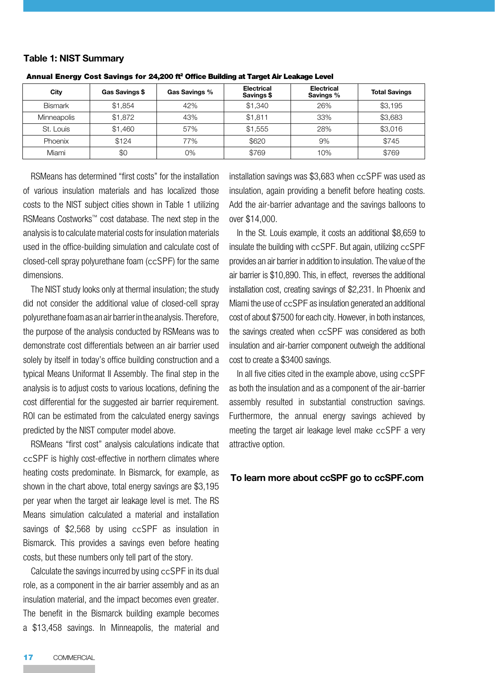#### **Table 1: NIST Summary**

| City               | Gas Savings \$ | Gas Savings % | <b>Electrical</b><br>Savings \$ | <b>Electrical</b><br>Savings % | <b>Total Savings</b> |
|--------------------|----------------|---------------|---------------------------------|--------------------------------|----------------------|
| Bismark            | \$1,854        | 42%           | \$1,340                         | 26%                            | \$3,195              |
| <b>Minneapolis</b> | \$1,872        | 43%           | \$1.811                         | 33%                            | \$3,683              |
| St. Louis          | \$1,460        | 57%           | \$1,555                         | 28%                            | \$3,016              |
| Phoenix            | \$124          | 77%           | \$620                           | 9%                             | \$745                |
| Miami              | \$0            | 0%            | \$769                           | 10%                            | \$769                |

Annual Energy Cost Savings for 24,200 ft<sup>2</sup> Office Building at Target Air Leakage Level

RSMeans has determined "first costs" for the installation of various insulation materials and has localized those costs to the NIST subject cities shown in Table 1 utilizing RSMeans Costworks™ cost database. The next step in the analysis is to calculate material costs for insulation materials used in the office-building simulation and calculate cost of closed-cell spray polyurethane foam (ccSPF) for the same dimensions.

The NIST study looks only at thermal insulation; the study did not consider the additional value of closed-cell spray polyurethane foam as an air barrier in the analysis. Therefore, the purpose of the analysis conducted by RSMeans was to demonstrate cost differentials between an air barrier used solely by itself in today's office building construction and a typical Means Uniformat II Assembly. The final step in the analysis is to adjust costs to various locations, defining the cost differential for the suggested air barrier requirement. ROI can be estimated from the calculated energy savings predicted by the NIST computer model above.

RSMeans "first cost" analysis calculations indicate that ccSPF is highly cost-effective in northern climates where heating costs predominate. In Bismarck, for example, as shown in the chart above, total energy savings are \$3,195 per year when the target air leakage level is met. The RS Means simulation calculated a material and installation savings of \$2,568 by using ccSPF as insulation in Bismarck. This provides a savings even before heating costs, but these numbers only tell part of the story.

Calculate the savings incurred by using ccSPF in its dual role, as a component in the air barrier assembly and as an insulation material, and the impact becomes even greater. The benefit in the Bismarck building example becomes a \$13,458 savings. In Minneapolis, the material and

installation savings was \$3,683 when ccSPF was used as insulation, again providing a benefit before heating costs. Add the air-barrier advantage and the savings balloons to over \$14,000.

In the St. Louis example, it costs an additional \$8,659 to insulate the building with ccSPF. But again, utilizing ccSPF provides an air barrier in addition to insulation. The value of the air barrier is \$10,890. This, in effect, reverses the additional installation cost, creating savings of \$2,231. In Phoenix and Miami the use of ccSPF as insulation generated an additional cost of about \$7500 for each city. However, in both instances, the savings created when ccSPF was considered as both insulation and air-barrier component outweigh the additional cost to create a \$3400 savings.

In all five cities cited in the example above, using ccSPF as both the insulation and as a component of the air-barrier assembly resulted in substantial construction savings. Furthermore, the annual energy savings achieved by meeting the target air leakage level make ccSPF a very attractive option.

#### **To learn more about ccSPF go to ccSPF.com**